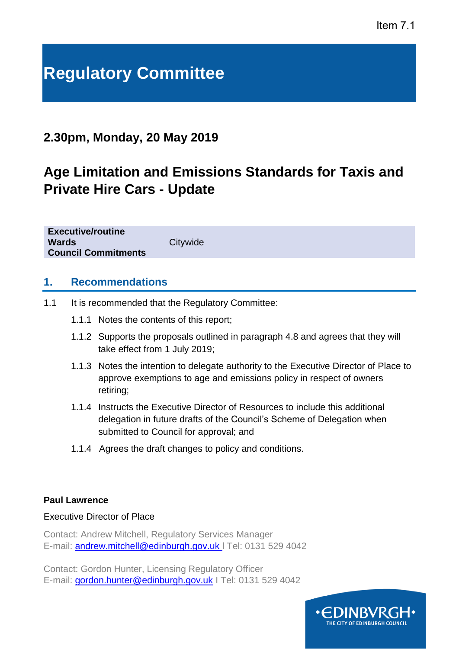# **Regulatory Committee**

# **2.30pm, Monday, 20 May 2019**

# **Age Limitation and Emissions Standards for Taxis and Private Hire Cars - Update**

**Executive/routine Wards** Citywide **Council Commitments**

# **1. Recommendations**

- 1.1 It is recommended that the Regulatory Committee:
	- 1.1.1 Notes the contents of this report;
	- 1.1.2 Supports the proposals outlined in paragraph 4.8 and agrees that they will take effect from 1 July 2019;
	- 1.1.3 Notes the intention to delegate authority to the Executive Director of Place to approve exemptions to age and emissions policy in respect of owners retiring;
	- 1.1.4 Instructs the Executive Director of Resources to include this additional delegation in future drafts of the Council's Scheme of Delegation when submitted to Council for approval; and
	- 1.1.4 Agrees the draft changes to policy and conditions.

#### **Paul Lawrence**

#### Executive Director of Place

Contact: Andrew Mitchell, Regulatory Services Manager E-mail: [andrew.mitchell@edinburgh.gov.uk](mailto:andrew.mitchell@edinburgh.gov.uk) l Tel: 0131 529 4042

Contact: Gordon Hunter, Licensing Regulatory Officer E-mail: [gordon.hunter@edinburgh.gov.uk](mailto:gordon.hunter@edinburgh.gov.uk) I Tel: 0131 529 4042

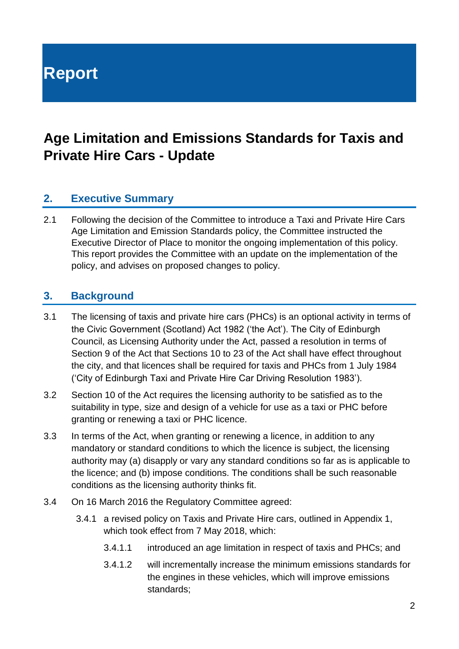**Report**

# **Age Limitation and Emissions Standards for Taxis and Private Hire Cars - Update**

# **2. Executive Summary**

2.1 Following the decision of the Committee to introduce a Taxi and Private Hire Cars Age Limitation and Emission Standards policy, the Committee instructed the Executive Director of Place to monitor the ongoing implementation of this policy. This report provides the Committee with an update on the implementation of the policy, and advises on proposed changes to policy.

# **3. Background**

- 3.1 The licensing of taxis and private hire cars (PHCs) is an optional activity in terms of the Civic Government (Scotland) Act 1982 ('the Act'). The City of Edinburgh Council, as Licensing Authority under the Act, passed a resolution in terms of Section 9 of the Act that Sections 10 to 23 of the Act shall have effect throughout the city, and that licences shall be required for taxis and PHCs from 1 July 1984 ('City of Edinburgh Taxi and Private Hire Car Driving Resolution 1983').
- 3.2 Section 10 of the Act requires the licensing authority to be satisfied as to the suitability in type, size and design of a vehicle for use as a taxi or PHC before granting or renewing a taxi or PHC licence.
- 3.3 In terms of the Act, when granting or renewing a licence, in addition to any mandatory or standard conditions to which the licence is subject, the licensing authority may (a) disapply or vary any standard conditions so far as is applicable to the licence; and (b) impose conditions. The conditions shall be such reasonable conditions as the licensing authority thinks fit.
- 3.4 On 16 March 2016 the Regulatory Committee agreed:
	- 3.4.1 a revised policy on Taxis and Private Hire cars, outlined in Appendix 1, which took effect from 7 May 2018, which:
		- 3.4.1.1 introduced an age limitation in respect of taxis and PHCs; and
		- 3.4.1.2 will incrementally increase the minimum emissions standards for the engines in these vehicles, which will improve emissions standards;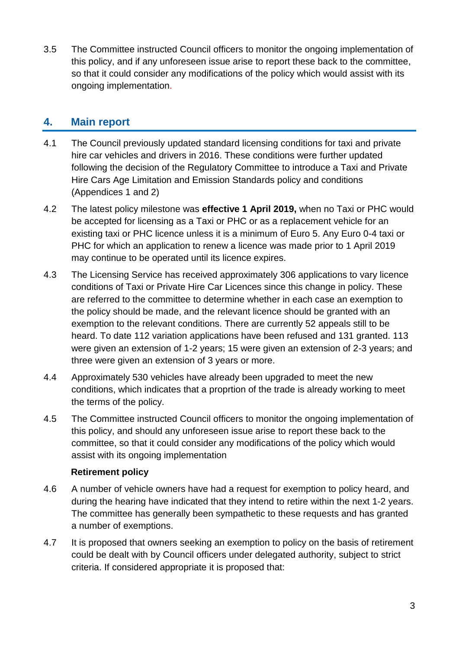3.5 The Committee instructed Council officers to monitor the ongoing implementation of this policy, and if any unforeseen issue arise to report these back to the committee, so that it could consider any modifications of the policy which would assist with its ongoing implementation.

# **4. Main report**

- 4.1 The Council previously updated standard licensing conditions for taxi and private hire car vehicles and drivers in 2016. These conditions were further updated following the decision of the Regulatory Committee to introduce a Taxi and Private Hire Cars Age Limitation and Emission Standards policy and conditions (Appendices 1 and 2)
- 4.2 The latest policy milestone was **effective 1 April 2019,** when no Taxi or PHC would be accepted for licensing as a Taxi or PHC or as a replacement vehicle for an existing taxi or PHC licence unless it is a minimum of Euro 5. Any Euro 0-4 taxi or PHC for which an application to renew a licence was made prior to 1 April 2019 may continue to be operated until its licence expires.
- 4.3 The Licensing Service has received approximately 306 applications to vary licence conditions of Taxi or Private Hire Car Licences since this change in policy. These are referred to the committee to determine whether in each case an exemption to the policy should be made, and the relevant licence should be granted with an exemption to the relevant conditions. There are currently 52 appeals still to be heard. To date 112 variation applications have been refused and 131 granted. 113 were given an extension of 1-2 years; 15 were given an extension of 2-3 years; and three were given an extension of 3 years or more.
- 4.4 Approximately 530 vehicles have already been upgraded to meet the new conditions, which indicates that a proprtion of the trade is already working to meet the terms of the policy.
- 4.5 The Committee instructed Council officers to monitor the ongoing implementation of this policy, and should any unforeseen issue arise to report these back to the committee, so that it could consider any modifications of the policy which would assist with its ongoing implementation

# **Retirement policy**

- 4.6 A number of vehicle owners have had a request for exemption to policy heard, and during the hearing have indicated that they intend to retire within the next 1-2 years. The committee has generally been sympathetic to these requests and has granted a number of exemptions.
- 4.7 It is proposed that owners seeking an exemption to policy on the basis of retirement could be dealt with by Council officers under delegated authority, subject to strict criteria. If considered appropriate it is proposed that: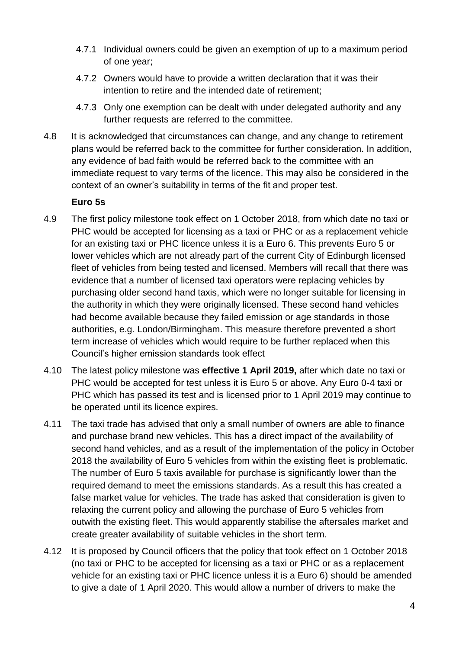- 4.7.1 Individual owners could be given an exemption of up to a maximum period of one year;
- 4.7.2 Owners would have to provide a written declaration that it was their intention to retire and the intended date of retirement;
- 4.7.3 Only one exemption can be dealt with under delegated authority and any further requests are referred to the committee.
- 4.8 It is acknowledged that circumstances can change, and any change to retirement plans would be referred back to the committee for further consideration. In addition, any evidence of bad faith would be referred back to the committee with an immediate request to vary terms of the licence. This may also be considered in the context of an owner's suitability in terms of the fit and proper test.

## **Euro 5s**

- 4.9 The first policy milestone took effect on 1 October 2018, from which date no taxi or PHC would be accepted for licensing as a taxi or PHC or as a replacement vehicle for an existing taxi or PHC licence unless it is a Euro 6. This prevents Euro 5 or lower vehicles which are not already part of the current City of Edinburgh licensed fleet of vehicles from being tested and licensed. Members will recall that there was evidence that a number of licensed taxi operators were replacing vehicles by purchasing older second hand taxis, which were no longer suitable for licensing in the authority in which they were originally licensed. These second hand vehicles had become available because they failed emission or age standards in those authorities, e.g. London/Birmingham. This measure therefore prevented a short term increase of vehicles which would require to be further replaced when this Council's higher emission standards took effect
- 4.10 The latest policy milestone was **effective 1 April 2019,** after which date no taxi or PHC would be accepted for test unless it is Euro 5 or above. Any Euro 0-4 taxi or PHC which has passed its test and is licensed prior to 1 April 2019 may continue to be operated until its licence expires.
- 4.11 The taxi trade has advised that only a small number of owners are able to finance and purchase brand new vehicles. This has a direct impact of the availability of second hand vehicles, and as a result of the implementation of the policy in October 2018 the availability of Euro 5 vehicles from within the existing fleet is problematic. The number of Euro 5 taxis available for purchase is significantly lower than the required demand to meet the emissions standards. As a result this has created a false market value for vehicles. The trade has asked that consideration is given to relaxing the current policy and allowing the purchase of Euro 5 vehicles from outwith the existing fleet. This would apparently stabilise the aftersales market and create greater availability of suitable vehicles in the short term.
- 4.12 It is proposed by Council officers that the policy that took effect on 1 October 2018 (no taxi or PHC to be accepted for licensing as a taxi or PHC or as a replacement vehicle for an existing taxi or PHC licence unless it is a Euro 6) should be amended to give a date of 1 April 2020. This would allow a number of drivers to make the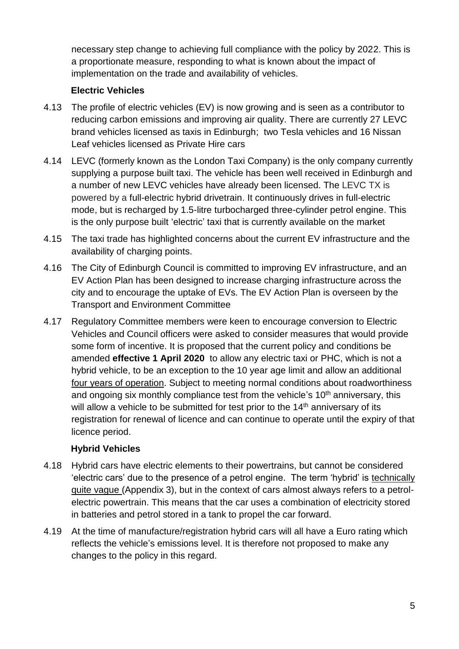necessary step change to achieving full compliance with the policy by 2022. This is a proportionate measure, responding to what is known about the impact of implementation on the trade and availability of vehicles.

## **Electric Vehicles**

- 4.13 The profile of electric vehicles (EV) is now growing and is seen as a contributor to reducing carbon emissions and improving air quality. There are currently 27 LEVC brand vehicles licensed as taxis in Edinburgh; two Tesla vehicles and 16 Nissan Leaf vehicles licensed as Private Hire cars
- 4.14 LEVC (formerly known as the London Taxi Company) is the only company currently supplying a purpose built taxi. The vehicle has been well received in Edinburgh and a number of new LEVC vehicles have already been licensed. The LEVC TX is powered by a full-electric hybrid drivetrain. It continuously drives in full-electric mode, but is recharged by 1.5-litre turbocharged three-cylinder petrol engine. This is the only purpose built 'electric' taxi that is currently available on the market
- 4.15 The taxi trade has highlighted concerns about the current EV infrastructure and the availability of charging points.
- 4.16 The City of Edinburgh Council is committed to improving EV infrastructure, and an EV Action Plan has been designed to increase charging infrastructure across the city and to encourage the uptake of EVs. The EV Action Plan is overseen by the Transport and Environment Committee
- 4.17 Regulatory Committee members were keen to encourage conversion to Electric Vehicles and Council officers were asked to consider measures that would provide some form of incentive. It is proposed that the current policy and conditions be amended **effective 1 April 2020** to allow any electric taxi or PHC, which is not a hybrid vehicle, to be an exception to the 10 year age limit and allow an additional four years of operation. Subject to meeting normal conditions about roadworthiness and ongoing six monthly compliance test from the vehicle's 10<sup>th</sup> anniversary, this will allow a vehicle to be submitted for test prior to the  $14<sup>th</sup>$  anniversary of its registration for renewal of licence and can continue to operate until the expiry of that licence period.

# **Hybrid Vehicles**

- 4.18 Hybrid cars have electric elements to their powertrains, but cannot be considered 'electric cars' due to the presence of a petrol engine. The term 'hybrid' is technically quite vague (Appendix 3), but in the context of cars almost always refers to a petrolelectric powertrain. This means that the car uses a combination of electricity stored in batteries and petrol stored in a tank to propel the car forward.
- 4.19 At the time of manufacture/registration hybrid cars will all have a Euro rating which reflects the vehicle's emissions level. It is therefore not proposed to make any changes to the policy in this regard.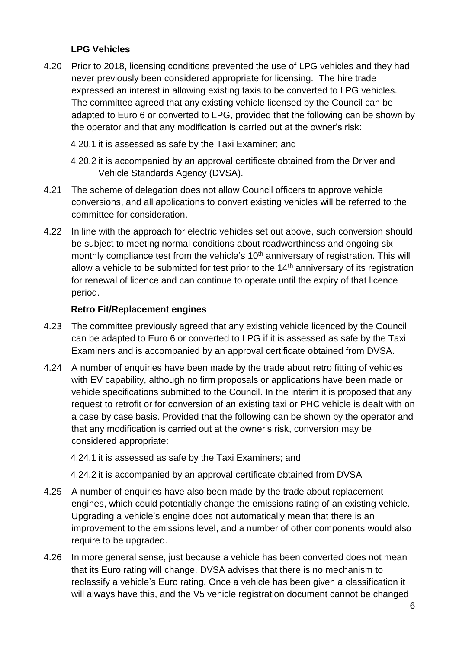## **LPG Vehicles**

4.20 Prior to 2018, licensing conditions prevented the use of LPG vehicles and they had never previously been considered appropriate for licensing. The hire trade expressed an interest in allowing existing taxis to be converted to LPG vehicles. The committee agreed that any existing vehicle licensed by the Council can be adapted to Euro 6 or converted to LPG, provided that the following can be shown by the operator and that any modification is carried out at the owner's risk:

4.20.1 it is assessed as safe by the Taxi Examiner; and

- 4.20.2 it is accompanied by an approval certificate obtained from the Driver and Vehicle Standards Agency (DVSA).
- 4.21 The scheme of delegation does not allow Council officers to approve vehicle conversions, and all applications to convert existing vehicles will be referred to the committee for consideration.
- 4.22 In line with the approach for electric vehicles set out above, such conversion should be subject to meeting normal conditions about roadworthiness and ongoing six monthly compliance test from the vehicle's 10<sup>th</sup> anniversary of registration. This will allow a vehicle to be submitted for test prior to the  $14<sup>th</sup>$  anniversary of its registration for renewal of licence and can continue to operate until the expiry of that licence period.

#### **Retro Fit/Replacement engines**

- 4.23 The committee previously agreed that any existing vehicle licenced by the Council can be adapted to Euro 6 or converted to LPG if it is assessed as safe by the Taxi Examiners and is accompanied by an approval certificate obtained from DVSA.
- 4.24 A number of enquiries have been made by the trade about retro fitting of vehicles with EV capability, although no firm proposals or applications have been made or vehicle specifications submitted to the Council. In the interim it is proposed that any request to retrofit or for conversion of an existing taxi or PHC vehicle is dealt with on a case by case basis. Provided that the following can be shown by the operator and that any modification is carried out at the owner's risk, conversion may be considered appropriate:

4.24.1 it is assessed as safe by the Taxi Examiners; and

4.24.2 it is accompanied by an approval certificate obtained from DVSA

- 4.25 A number of enquiries have also been made by the trade about replacement engines, which could potentially change the emissions rating of an existing vehicle. Upgrading a vehicle's engine does not automatically mean that there is an improvement to the emissions level, and a number of other components would also require to be upgraded.
- 4.26 In more general sense, just because a vehicle has been converted does not mean that its Euro rating will change. DVSA advises that there is no mechanism to reclassify a vehicle's Euro rating. Once a vehicle has been given a classification it will always have this, and the V5 vehicle registration document cannot be changed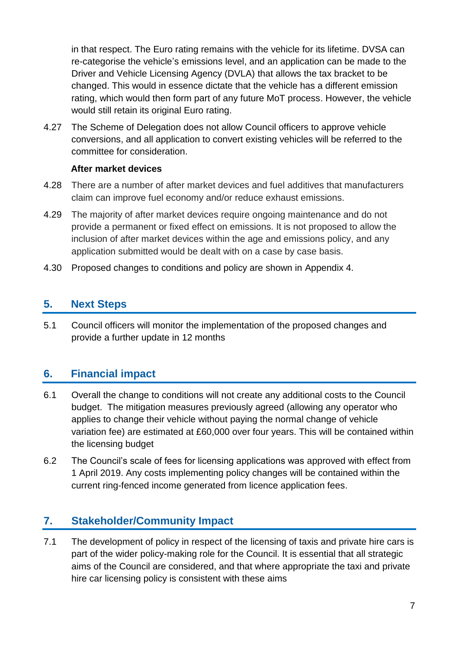in that respect. The Euro rating remains with the vehicle for its lifetime. DVSA can re-categorise the vehicle's emissions level, and an application can be made to the Driver and Vehicle Licensing Agency (DVLA) that allows the tax bracket to be changed. This would in essence dictate that the vehicle has a different emission rating, which would then form part of any future MoT process. However, the vehicle would still retain its original Euro rating.

4.27 The Scheme of Delegation does not allow Council officers to approve vehicle conversions, and all application to convert existing vehicles will be referred to the committee for consideration.

#### **After market devices**

- 4.28 There are a number of after market devices and fuel additives that manufacturers claim can improve fuel economy and/or reduce exhaust emissions.
- 4.29 The majority of after market devices require ongoing maintenance and do not provide a permanent or fixed effect on emissions. It is not proposed to allow the inclusion of after market devices within the age and emissions policy, and any application submitted would be dealt with on a case by case basis.
- 4.30 Proposed changes to conditions and policy are shown in Appendix 4.

# **5. Next Steps**

5.1 Council officers will monitor the implementation of the proposed changes and provide a further update in 12 months

# **6. Financial impact**

- 6.1 Overall the change to conditions will not create any additional costs to the Council budget. The mitigation measures previously agreed (allowing any operator who applies to change their vehicle without paying the normal change of vehicle variation fee) are estimated at £60,000 over four years. This will be contained within the licensing budget
- 6.2 The Council's scale of fees for licensing applications was approved with effect from 1 April 2019. Any costs implementing policy changes will be contained within the current ring-fenced income generated from licence application fees.

# **7. Stakeholder/Community Impact**

7.1 The development of policy in respect of the licensing of taxis and private hire cars is part of the wider policy-making role for the Council. It is essential that all strategic aims of the Council are considered, and that where appropriate the taxi and private hire car licensing policy is consistent with these aims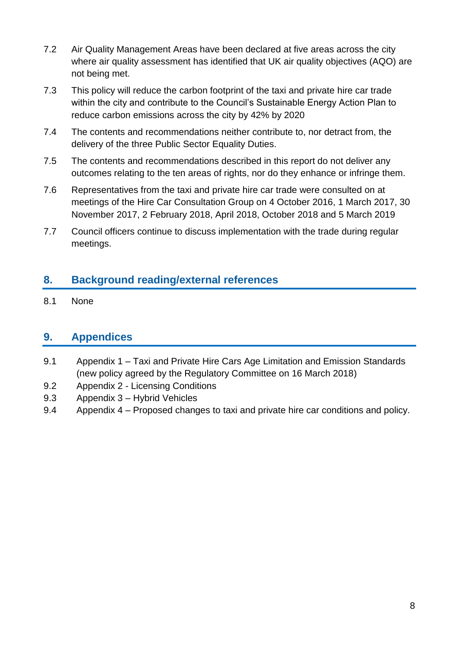- 7.2 Air Quality Management Areas have been declared at five areas across the city where air quality assessment has identified that UK air quality objectives (AQO) are not being met.
- 7.3 This policy will reduce the carbon footprint of the taxi and private hire car trade within the city and contribute to the Council's Sustainable Energy Action Plan to reduce carbon emissions across the city by 42% by 2020
- 7.4 The contents and recommendations neither contribute to, nor detract from, the delivery of the three Public Sector Equality Duties.
- 7.5 The contents and recommendations described in this report do not deliver any outcomes relating to the ten areas of rights, nor do they enhance or infringe them.
- 7.6 Representatives from the taxi and private hire car trade were consulted on at meetings of the Hire Car Consultation Group on 4 October 2016, 1 March 2017, 30 November 2017, 2 February 2018, April 2018, October 2018 and 5 March 2019
- 7.7 Council officers continue to discuss implementation with the trade during regular meetings.

# **8. Background reading/external references**

8.1 None

# **9. Appendices**

- 9.1 Appendix 1 Taxi and Private Hire Cars Age Limitation and Emission Standards (new policy agreed by the Regulatory Committee on 16 March 2018)
- 9.2 Appendix 2 Licensing Conditions
- 9.3 Appendix 3 Hybrid Vehicles
- 9.4 Appendix 4 Proposed changes to taxi and private hire car conditions and policy.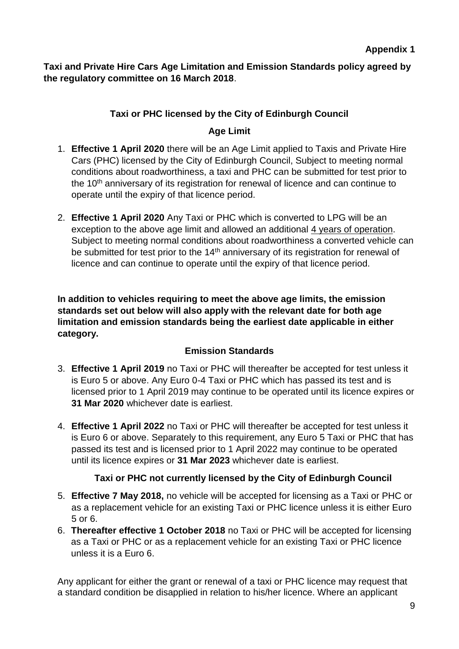**Taxi and Private Hire Cars Age Limitation and Emission Standards policy agreed by the regulatory committee on 16 March 2018**.

# **Taxi or PHC licensed by the City of Edinburgh Council**

#### **Age Limit**

- 1. **Effective 1 April 2020** there will be an Age Limit applied to Taxis and Private Hire Cars (PHC) licensed by the City of Edinburgh Council, Subject to meeting normal conditions about roadworthiness, a taxi and PHC can be submitted for test prior to the  $10<sup>th</sup>$  anniversary of its registration for renewal of licence and can continue to operate until the expiry of that licence period.
- 2. **Effective 1 April 2020** Any Taxi or PHC which is converted to LPG will be an exception to the above age limit and allowed an additional 4 years of operation. Subject to meeting normal conditions about roadworthiness a converted vehicle can be submitted for test prior to the 14<sup>th</sup> anniversary of its registration for renewal of licence and can continue to operate until the expiry of that licence period.

**In addition to vehicles requiring to meet the above age limits, the emission standards set out below will also apply with the relevant date for both age limitation and emission standards being the earliest date applicable in either category.**

#### **Emission Standards**

- 3. **Effective 1 April 2019** no Taxi or PHC will thereafter be accepted for test unless it is Euro 5 or above. Any Euro 0-4 Taxi or PHC which has passed its test and is licensed prior to 1 April 2019 may continue to be operated until its licence expires or **31 Mar 2020** whichever date is earliest.
- 4. **Effective 1 April 2022** no Taxi or PHC will thereafter be accepted for test unless it is Euro 6 or above. Separately to this requirement, any Euro 5 Taxi or PHC that has passed its test and is licensed prior to 1 April 2022 may continue to be operated until its licence expires or **31 Mar 2023** whichever date is earliest.

# **Taxi or PHC not currently licensed by the City of Edinburgh Council**

- 5. **Effective 7 May 2018,** no vehicle will be accepted for licensing as a Taxi or PHC or as a replacement vehicle for an existing Taxi or PHC licence unless it is either Euro 5 or 6.
- 6. **Thereafter effective 1 October 2018** no Taxi or PHC will be accepted for licensing as a Taxi or PHC or as a replacement vehicle for an existing Taxi or PHC licence unless it is a Euro 6.

Any applicant for either the grant or renewal of a taxi or PHC licence may request that a standard condition be disapplied in relation to his/her licence. Where an applicant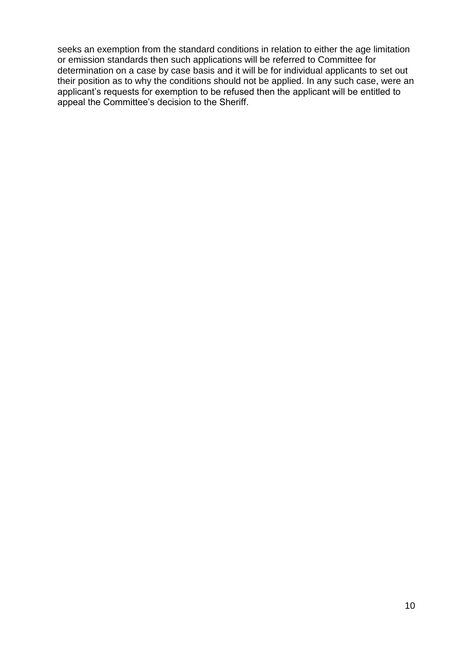seeks an exemption from the standard conditions in relation to either the age limitation or emission standards then such applications will be referred to Committee for determination on a case by case basis and it will be for individual applicants to set out their position as to why the conditions should not be applied. In any such case, were an applicant's requests for exemption to be refused then the applicant will be entitled to appeal the Committee's decision to the Sheriff.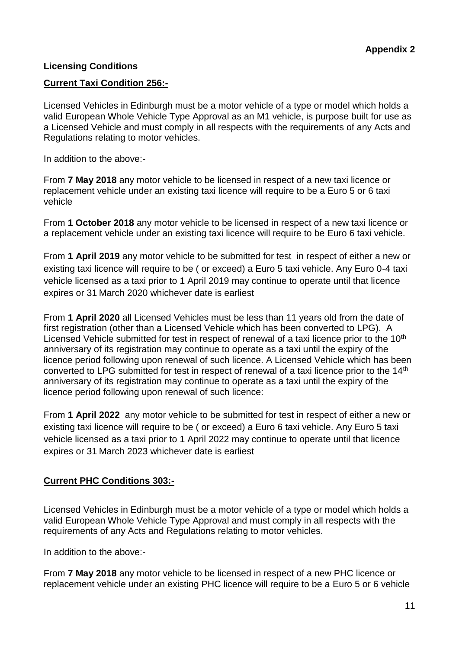#### **Licensing Conditions**

#### **Current Taxi Condition 256:-**

Licensed Vehicles in Edinburgh must be a motor vehicle of a type or model which holds a valid European Whole Vehicle Type Approval as an M1 vehicle, is purpose built for use as a Licensed Vehicle and must comply in all respects with the requirements of any Acts and Regulations relating to motor vehicles.

In addition to the above:-

From **7 May 2018** any motor vehicle to be licensed in respect of a new taxi licence or replacement vehicle under an existing taxi licence will require to be a Euro 5 or 6 taxi vehicle

From **1 October 2018** any motor vehicle to be licensed in respect of a new taxi licence or a replacement vehicle under an existing taxi licence will require to be Euro 6 taxi vehicle.

From **1 April 2019** any motor vehicle to be submitted for test in respect of either a new or existing taxi licence will require to be ( or exceed) a Euro 5 taxi vehicle. Any Euro 0-4 taxi vehicle licensed as a taxi prior to 1 April 2019 may continue to operate until that licence expires or 31 March 2020 whichever date is earliest

From **1 April 2020** all Licensed Vehicles must be less than 11 years old from the date of first registration (other than a Licensed Vehicle which has been converted to LPG). A Licensed Vehicle submitted for test in respect of renewal of a taxi licence prior to the 10<sup>th</sup> anniversary of its registration may continue to operate as a taxi until the expiry of the licence period following upon renewal of such licence. A Licensed Vehicle which has been converted to LPG submitted for test in respect of renewal of a taxi licence prior to the 14th anniversary of its registration may continue to operate as a taxi until the expiry of the licence period following upon renewal of such licence:

From **1 April 2022** any motor vehicle to be submitted for test in respect of either a new or existing taxi licence will require to be ( or exceed) a Euro 6 taxi vehicle. Any Euro 5 taxi vehicle licensed as a taxi prior to 1 April 2022 may continue to operate until that licence expires or 31 March 2023 whichever date is earliest

#### **Current PHC Conditions 303:-**

Licensed Vehicles in Edinburgh must be a motor vehicle of a type or model which holds a valid European Whole Vehicle Type Approval and must comply in all respects with the requirements of any Acts and Regulations relating to motor vehicles.

In addition to the above:-

From **7 May 2018** any motor vehicle to be licensed in respect of a new PHC licence or replacement vehicle under an existing PHC licence will require to be a Euro 5 or 6 vehicle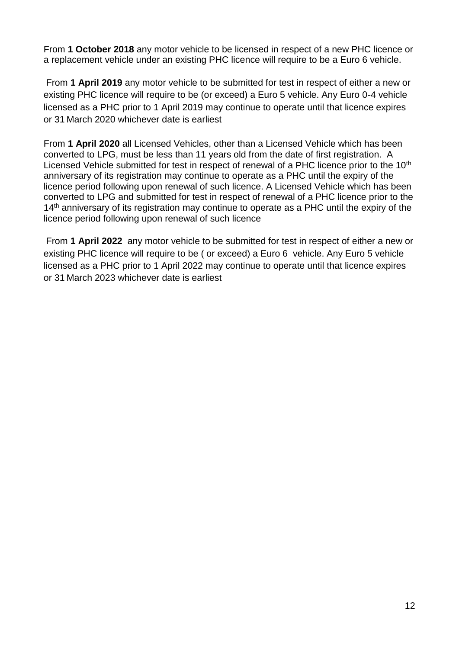From **1 October 2018** any motor vehicle to be licensed in respect of a new PHC licence or a replacement vehicle under an existing PHC licence will require to be a Euro 6 vehicle.

From **1 April 2019** any motor vehicle to be submitted for test in respect of either a new or existing PHC licence will require to be (or exceed) a Euro 5 vehicle. Any Euro 0-4 vehicle licensed as a PHC prior to 1 April 2019 may continue to operate until that licence expires or 31 March 2020 whichever date is earliest

From **1 April 2020** all Licensed Vehicles, other than a Licensed Vehicle which has been converted to LPG, must be less than 11 years old from the date of first registration. A Licensed Vehicle submitted for test in respect of renewal of a PHC licence prior to the 10<sup>th</sup> anniversary of its registration may continue to operate as a PHC until the expiry of the licence period following upon renewal of such licence. A Licensed Vehicle which has been converted to LPG and submitted for test in respect of renewal of a PHC licence prior to the 14<sup>th</sup> anniversary of its registration may continue to operate as a PHC until the expiry of the licence period following upon renewal of such licence

From **1 April 2022** any motor vehicle to be submitted for test in respect of either a new or existing PHC licence will require to be ( or exceed) a Euro 6 vehicle. Any Euro 5 vehicle licensed as a PHC prior to 1 April 2022 may continue to operate until that licence expires or 31 March 2023 whichever date is earliest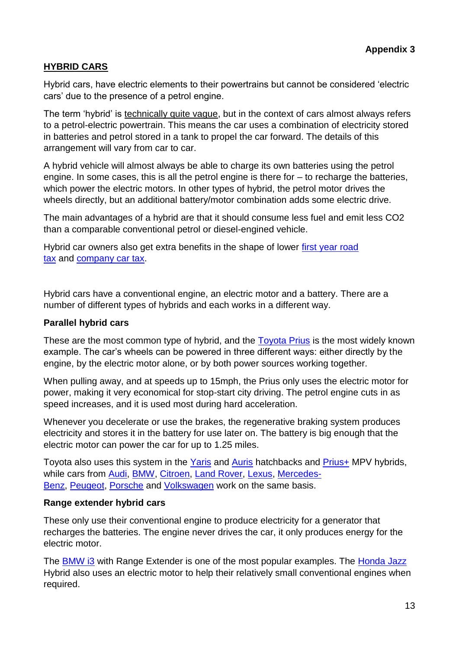### **HYBRID CARS**

Hybrid cars, have electric elements to their powertrains but cannot be considered 'electric cars' due to the presence of a petrol engine.

The term 'hybrid' is technically quite vague, but in the context of cars almost always refers to a petrol-electric powertrain. This means the car uses a combination of electricity stored in batteries and petrol stored in a tank to propel the car forward. The details of this arrangement will vary from car to car.

A hybrid vehicle will almost always be able to charge its own batteries using the petrol engine. In some cases, this is all the petrol engine is there for – to recharge the batteries, which power the electric motors. In other types of hybrid, the petrol motor drives the wheels directly, but an additional battery/motor combination adds some electric drive.

The main advantages of a hybrid are that it should consume less fuel and emit less CO2 than a comparable conventional petrol or diesel-engined vehicle.

Hybrid car owners also get extra benefits in the shape of lower [first year road](https://www.whatcar.com/advice/buying/ved-car-tax-changes-in-2017-what-do-i-need-to-know/)  [tax](https://www.whatcar.com/advice/buying/ved-car-tax-changes-in-2017-what-do-i-need-to-know/) and [company car tax.](https://www.whatcar.com/news/check-company-car-tax-rate/)

Hybrid cars have a conventional engine, an electric motor and a battery. There are a number of different types of hybrids and each works in a different way.

#### **Parallel hybrid cars**

These are the most common type of hybrid, and the [Toyota Prius](https://www.whatcar.com/toyota/prius/hatchback/review/) is the most widely known example. The car's wheels can be powered in three different ways: either directly by the engine, by the electric motor alone, or by both power sources working together.

When pulling away, and at speeds up to 15mph, the Prius only uses the electric motor for power, making it very economical for stop-start city driving. The petrol engine cuts in as speed increases, and it is used most during hard acceleration.

Whenever you decelerate or use the brakes, the regenerative braking system produces electricity and stores it in the battery for use later on. The battery is big enough that the electric motor can power the car for up to 1.25 miles.

Toyota also uses this system in the [Yaris](https://www.whatcar.com/toyota/yaris/hatchback/review/) and [Auris](https://www.whatcar.com/toyota/auris/hatchback/review/) hatchbacks and [Prius+](https://www.whatcar.com/toyota/prius/mpv/review/) MPV hybrids, while cars from [Audi,](https://www.whatcar.com/audi/) [BMW,](https://www.whatcar.com/bmw/) [Citroen,](https://www.whatcar.com/citroen/) [Land Rover,](https://www.whatcar.com/land-rover/) [Lexus,](https://www.whatcar.com/lexus/) [Mercedes-](https://www.whatcar.com/mercedes-benz/)[Benz,](https://www.whatcar.com/mercedes-benz/) [Peugeot,](https://www.whatcar.com/peugeot/) [Porsche](https://www.whatcar.com/porsche/) and [Volkswagen](https://www.whatcar.com/volkswagen/) work on the same basis.

#### **Range extender hybrid cars**

These only use their conventional engine to produce electricity for a generator that recharges the batteries. The engine never drives the car, it only produces energy for the electric motor.

The [BMW i3](https://www.whatcar.com/bmw/i3/hatchback/review/) with Range Extender is one of the most popular examples. The [Honda Jazz](https://www.whatcar.com/honda/jazz/hatchback/review/) Hybrid also uses an electric motor to help their relatively small conventional engines when required.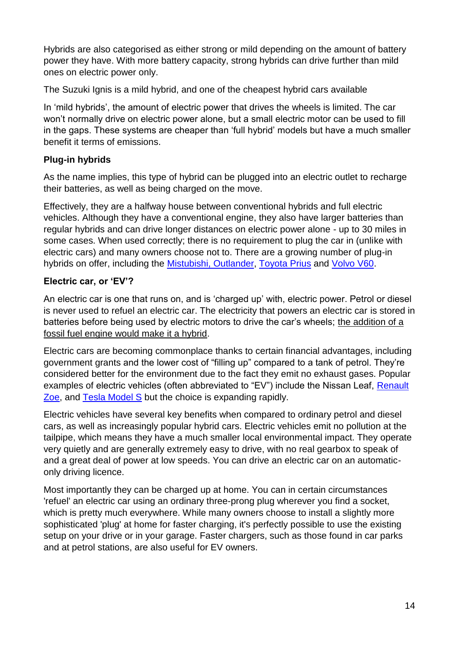Hybrids are also categorised as either strong or mild depending on the amount of battery power they have. With more battery capacity, strong hybrids can drive further than mild ones on electric power only.

The Suzuki Ignis is a mild hybrid, and one of the cheapest hybrid cars available

In 'mild hybrids', the amount of electric power that drives the wheels is limited. The car won't normally drive on electric power alone, but a small electric motor can be used to fill in the gaps. These systems are cheaper than 'full hybrid' models but have a much smaller benefit it terms of emissions.

# **Plug-in hybrids**

As the name implies, this type of hybrid can be plugged into an electric outlet to recharge their batteries, as well as being charged on the move.

Effectively, they are a halfway house between conventional hybrids and full electric vehicles. Although they have a conventional engine, they also have larger batteries than regular hybrids and can drive longer distances on electric power alone - up to 30 miles in some cases. When used correctly; there is no requirement to plug the car in (unlike with electric cars) and many owners choose not to. There are a growing number of plug-in hybrids on offer, including the [Mistubishi,](https://www.whatcar.com/mitsubishi/outlander/large-suv/review/) Outlander, [Toyota Prius](https://www.whatcar.com/toyota/prius/hatchback/review/) and [Volvo V60.](https://www.whatcar.com/volvo/v60/estate/review/)

# **Electric car, or 'EV'?**

An electric car is one that runs on, and is 'charged up' with, electric power. Petrol or diesel is never used to refuel an electric car. The electricity that powers an electric car is stored in batteries before being used by electric motors to drive the car's wheels; the addition of a fossil fuel engine would make it a hybrid.

Electric cars are becoming commonplace thanks to certain financial advantages, including government grants and the lower cost of "filling up" compared to a tank of petrol. They're considered better for the environment due to the fact they emit no exhaust gases. Popular examples of electric vehicles (often abbreviated to "EV") include the Nissan Leaf, Renault [Zoe,](https://www.telegraph.co.uk/cars/renault/renault-zoe-review/) and [Tesla Model S](https://www.telegraph.co.uk/cars/tesla/tesla-model-s-review/) but the choice is expanding rapidly.

Electric vehicles have several key benefits when compared to ordinary petrol and diesel cars, as well as increasingly popular hybrid cars. Electric vehicles emit no pollution at the tailpipe, which means they have a much smaller local environmental impact. They operate very quietly and are generally extremely easy to drive, with no real gearbox to speak of and a great deal of power at low speeds. You can drive an electric car on an automaticonly driving licence.

Most importantly they can be charged up at home. You can in certain circumstances 'refuel' an electric car using an ordinary three-prong plug wherever you find a socket, which is pretty much everywhere. While many owners choose to install a slightly more sophisticated 'plug' at home for faster charging, it's perfectly possible to use the existing setup on your drive or in your garage. Faster chargers, such as those found in car parks and at petrol stations, are also useful for EV owners.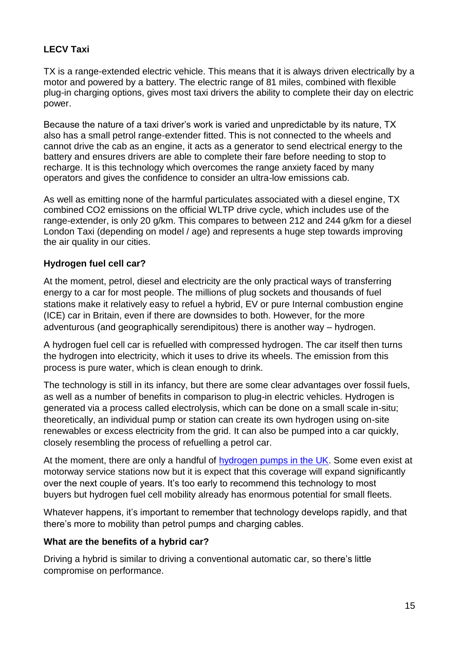# **LECV Taxi**

TX is a range-extended electric vehicle. This means that it is always driven electrically by a motor and powered by a battery. The electric range of 81 miles, combined with flexible plug-in charging options, gives most taxi drivers the ability to complete their day on electric power.

Because the nature of a taxi driver's work is varied and unpredictable by its nature, TX also has a small petrol range-extender fitted. This is not connected to the wheels and cannot drive the cab as an engine, it acts as a generator to send electrical energy to the battery and ensures drivers are able to complete their fare before needing to stop to recharge. It is this technology which overcomes the range anxiety faced by many operators and gives the confidence to consider an ultra-low emissions cab.

As well as emitting none of the harmful particulates associated with a diesel engine, TX combined CO2 emissions on the official WLTP drive cycle, which includes use of the range-extender, is only 20 g/km. This compares to between 212 and 244 g/km for a diesel London Taxi (depending on model / age) and represents a huge step towards improving the air quality in our cities.

#### **Hydrogen fuel cell car?**

At the moment, petrol, diesel and electricity are the only practical ways of transferring energy to a car for most people. The millions of plug sockets and thousands of fuel stations make it relatively easy to refuel a hybrid, EV or pure Internal combustion engine (ICE) car in Britain, even if there are downsides to both. However, for the more adventurous (and geographically serendipitous) there is another way – hydrogen.

A hydrogen fuel cell car is refuelled with compressed hydrogen. The car itself then turns the hydrogen into electricity, which it uses to drive its wheels. The emission from this process is pure water, which is clean enough to drink.

The technology is still in its infancy, but there are some clear advantages over fossil fuels, as well as a number of benefits in comparison to plug-in electric vehicles. Hydrogen is generated via a process called electrolysis, which can be done on a small scale in-situ; theoretically, an individual pump or station can create its own hydrogen using on-site renewables or excess electricity from the grid. It can also be pumped into a car quickly, closely resembling the process of refuelling a petrol car.

At the moment, there are only a handful of [hydrogen pumps in the UK.](https://www.telegraph.co.uk/cars/features/filling-hydrogen-motorway-service-station-pictures/) Some even exist at motorway service stations now but it is expect that this coverage will expand significantly over the next couple of years. It's too early to recommend this technology to most buyers but hydrogen fuel cell mobility already has enormous potential for small fleets.

Whatever happens, it's important to remember that technology develops rapidly, and that there's more to mobility than petrol pumps and charging cables.

#### **What are the benefits of a hybrid car?**

Driving a hybrid is similar to driving a conventional automatic car, so there's little compromise on performance.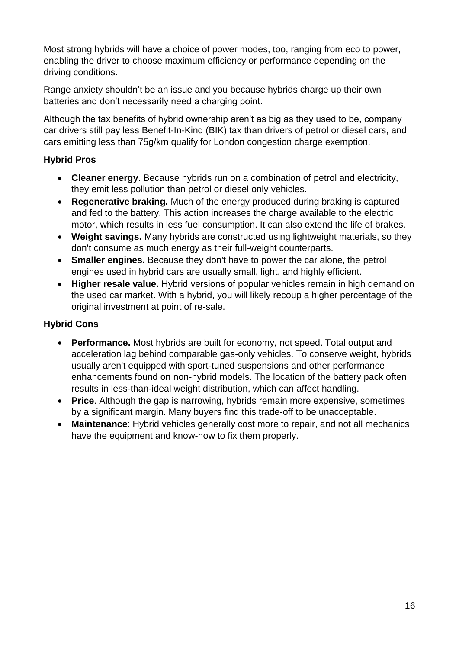Most strong hybrids will have a choice of power modes, too, ranging from eco to power, enabling the driver to choose maximum efficiency or performance depending on the driving conditions.

Range anxiety shouldn't be an issue and you because hybrids charge up their own batteries and don't necessarily need a charging point.

Although the tax benefits of hybrid ownership aren't as big as they used to be, company car drivers still pay less Benefit-In-Kind (BIK) tax than drivers of petrol or diesel cars, and cars emitting less than 75g/km qualify for London congestion charge exemption.

# **Hybrid Pros**

- **Cleaner energy**. Because hybrids run on a combination of petrol and electricity, they emit less pollution than petrol or diesel only vehicles.
- **Regenerative braking.** Much of the energy produced during braking is captured and fed to the battery. This action increases the charge available to the electric motor, which results in less fuel consumption. It can also extend the life of brakes.
- **Weight savings.** Many hybrids are constructed using lightweight materials, so they don't consume as much energy as their full-weight counterparts.
- **Smaller engines.** Because they don't have to power the car alone, the petrol engines used in hybrid cars are usually small, light, and highly efficient.
- **Higher resale value.** Hybrid versions of popular vehicles remain in high demand on the used car market. With a hybrid, you will likely recoup a higher percentage of the original investment at point of re-sale.

# **Hybrid Cons**

- **Performance.** Most hybrids are built for economy, not speed. Total output and acceleration lag behind comparable gas-only vehicles. To conserve weight, hybrids usually aren't equipped with sport-tuned suspensions and other performance enhancements found on non-hybrid models. The location of the battery pack often results in less-than-ideal weight distribution, which can affect handling.
- **Price**. Although the gap is narrowing, hybrids remain more expensive, sometimes by a significant margin. Many buyers find this trade-off to be unacceptable.
- **Maintenance**: Hybrid vehicles generally cost more to repair, and not all mechanics have the equipment and know-how to fix them properly.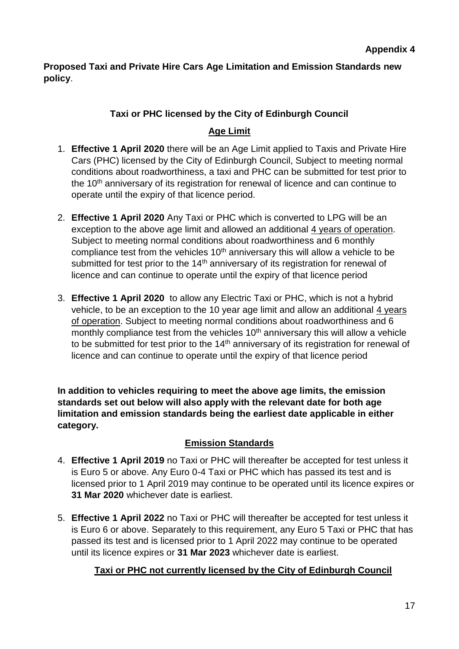**Proposed Taxi and Private Hire Cars Age Limitation and Emission Standards new policy**.

## **Taxi or PHC licensed by the City of Edinburgh Council**

### **Age Limit**

- 1. **Effective 1 April 2020** there will be an Age Limit applied to Taxis and Private Hire Cars (PHC) licensed by the City of Edinburgh Council, Subject to meeting normal conditions about roadworthiness, a taxi and PHC can be submitted for test prior to the  $10<sup>th</sup>$  anniversary of its registration for renewal of licence and can continue to operate until the expiry of that licence period.
- 2. **Effective 1 April 2020** Any Taxi or PHC which is converted to LPG will be an exception to the above age limit and allowed an additional 4 years of operation. Subject to meeting normal conditions about roadworthiness and 6 monthly compliance test from the vehicles  $10<sup>th</sup>$  anniversary this will allow a vehicle to be submitted for test prior to the  $14<sup>th</sup>$  anniversary of its registration for renewal of licence and can continue to operate until the expiry of that licence period
- 3. **Effective 1 April 2020** to allow any Electric Taxi or PHC, which is not a hybrid vehicle, to be an exception to the 10 year age limit and allow an additional 4 years of operation. Subject to meeting normal conditions about roadworthiness and 6 monthly compliance test from the vehicles  $10<sup>th</sup>$  anniversary this will allow a vehicle to be submitted for test prior to the 14<sup>th</sup> anniversary of its registration for renewal of licence and can continue to operate until the expiry of that licence period

**In addition to vehicles requiring to meet the above age limits, the emission standards set out below will also apply with the relevant date for both age limitation and emission standards being the earliest date applicable in either category.**

# **Emission Standards**

- 4. **Effective 1 April 2019** no Taxi or PHC will thereafter be accepted for test unless it is Euro 5 or above. Any Euro 0-4 Taxi or PHC which has passed its test and is licensed prior to 1 April 2019 may continue to be operated until its licence expires or **31 Mar 2020** whichever date is earliest.
- 5. **Effective 1 April 2022** no Taxi or PHC will thereafter be accepted for test unless it is Euro 6 or above. Separately to this requirement, any Euro 5 Taxi or PHC that has passed its test and is licensed prior to 1 April 2022 may continue to be operated until its licence expires or **31 Mar 2023** whichever date is earliest.

# **Taxi or PHC not currently licensed by the City of Edinburgh Council**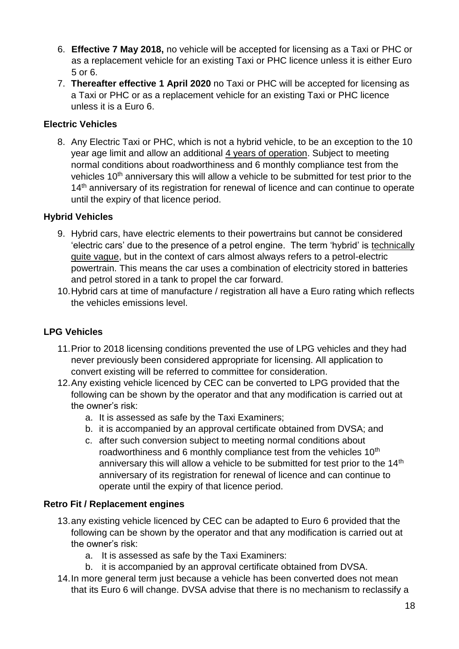- 6. **Effective 7 May 2018,** no vehicle will be accepted for licensing as a Taxi or PHC or as a replacement vehicle for an existing Taxi or PHC licence unless it is either Euro 5 or 6.
- 7. **Thereafter effective 1 April 2020** no Taxi or PHC will be accepted for licensing as a Taxi or PHC or as a replacement vehicle for an existing Taxi or PHC licence unless it is a Euro 6.

## **Electric Vehicles**

8. Any Electric Taxi or PHC, which is not a hybrid vehicle, to be an exception to the 10 year age limit and allow an additional 4 years of operation. Subject to meeting normal conditions about roadworthiness and 6 monthly compliance test from the vehicles 10<sup>th</sup> anniversary this will allow a vehicle to be submitted for test prior to the 14<sup>th</sup> anniversary of its registration for renewal of licence and can continue to operate until the expiry of that licence period.

## **Hybrid Vehicles**

- 9. Hybrid cars, have electric elements to their powertrains but cannot be considered 'electric cars' due to the presence of a petrol engine. The term 'hybrid' is technically quite vague, but in the context of cars almost always refers to a petrol-electric powertrain. This means the car uses a combination of electricity stored in batteries and petrol stored in a tank to propel the car forward.
- 10.Hybrid cars at time of manufacture / registration all have a Euro rating which reflects the vehicles emissions level.

# **LPG Vehicles**

- 11.Prior to 2018 licensing conditions prevented the use of LPG vehicles and they had never previously been considered appropriate for licensing. All application to convert existing will be referred to committee for consideration.
- 12.Any existing vehicle licenced by CEC can be converted to LPG provided that the following can be shown by the operator and that any modification is carried out at the owner's risk:
	- a. It is assessed as safe by the Taxi Examiners;
	- b. it is accompanied by an approval certificate obtained from DVSA; and
	- c. after such conversion subject to meeting normal conditions about roadworthiness and 6 monthly compliance test from the vehicles 10<sup>th</sup> anniversary this will allow a vehicle to be submitted for test prior to the 14<sup>th</sup> anniversary of its registration for renewal of licence and can continue to operate until the expiry of that licence period.

# **Retro Fit / Replacement engines**

- 13.any existing vehicle licenced by CEC can be adapted to Euro 6 provided that the following can be shown by the operator and that any modification is carried out at the owner's risk:
	- a. It is assessed as safe by the Taxi Examiners:
	- b. it is accompanied by an approval certificate obtained from DVSA.
- 14.In more general term just because a vehicle has been converted does not mean that its Euro 6 will change. DVSA advise that there is no mechanism to reclassify a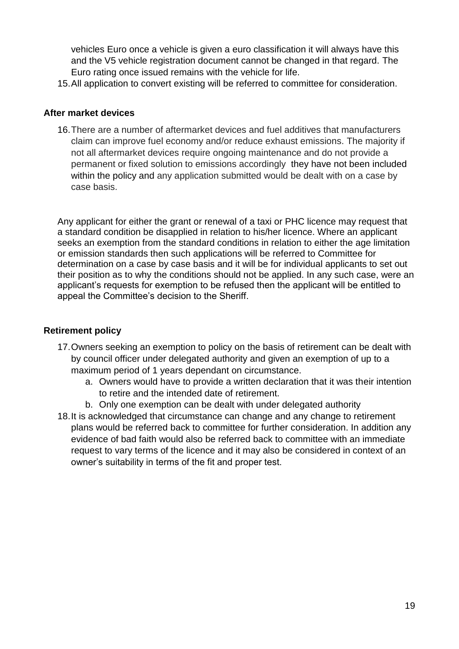vehicles Euro once a vehicle is given a euro classification it will always have this and the V5 vehicle registration document cannot be changed in that regard. The Euro rating once issued remains with the vehicle for life.

15.All application to convert existing will be referred to committee for consideration.

#### **After market devices**

16.There are a number of aftermarket devices and fuel additives that manufacturers claim can improve fuel economy and/or reduce exhaust emissions. The majority if not all aftermarket devices require ongoing maintenance and do not provide a permanent or fixed solution to emissions accordingly they have not been included within the policy and any application submitted would be dealt with on a case by case basis.

Any applicant for either the grant or renewal of a taxi or PHC licence may request that a standard condition be disapplied in relation to his/her licence. Where an applicant seeks an exemption from the standard conditions in relation to either the age limitation or emission standards then such applications will be referred to Committee for determination on a case by case basis and it will be for individual applicants to set out their position as to why the conditions should not be applied. In any such case, were an applicant's requests for exemption to be refused then the applicant will be entitled to appeal the Committee's decision to the Sheriff.

#### **Retirement policy**

- 17.Owners seeking an exemption to policy on the basis of retirement can be dealt with by council officer under delegated authority and given an exemption of up to a maximum period of 1 years dependant on circumstance.
	- a. Owners would have to provide a written declaration that it was their intention to retire and the intended date of retirement.
	- b. Only one exemption can be dealt with under delegated authority
- 18.It is acknowledged that circumstance can change and any change to retirement plans would be referred back to committee for further consideration. In addition any evidence of bad faith would also be referred back to committee with an immediate request to vary terms of the licence and it may also be considered in context of an owner's suitability in terms of the fit and proper test.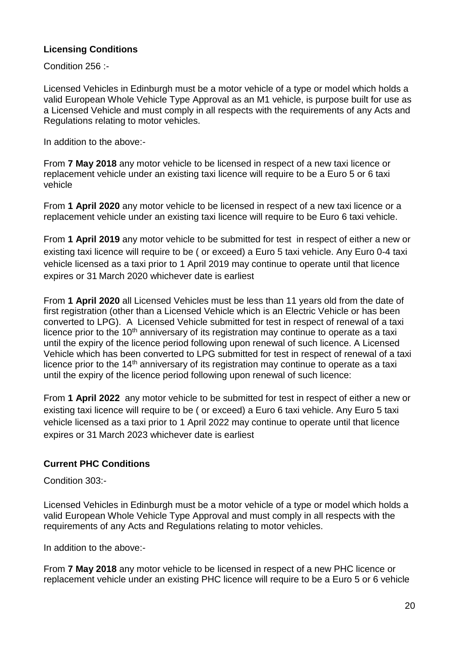### **Licensing Conditions**

Condition 256 :-

Licensed Vehicles in Edinburgh must be a motor vehicle of a type or model which holds a valid European Whole Vehicle Type Approval as an M1 vehicle, is purpose built for use as a Licensed Vehicle and must comply in all respects with the requirements of any Acts and Regulations relating to motor vehicles.

In addition to the above:-

From **7 May 2018** any motor vehicle to be licensed in respect of a new taxi licence or replacement vehicle under an existing taxi licence will require to be a Euro 5 or 6 taxi vehicle

From **1 April 2020** any motor vehicle to be licensed in respect of a new taxi licence or a replacement vehicle under an existing taxi licence will require to be Euro 6 taxi vehicle.

From **1 April 2019** any motor vehicle to be submitted for test in respect of either a new or existing taxi licence will require to be ( or exceed) a Euro 5 taxi vehicle. Any Euro 0-4 taxi vehicle licensed as a taxi prior to 1 April 2019 may continue to operate until that licence expires or 31 March 2020 whichever date is earliest

From **1 April 2020** all Licensed Vehicles must be less than 11 years old from the date of first registration (other than a Licensed Vehicle which is an Electric Vehicle or has been converted to LPG). A Licensed Vehicle submitted for test in respect of renewal of a taxi licence prior to the  $10<sup>th</sup>$  anniversary of its registration may continue to operate as a taxi until the expiry of the licence period following upon renewal of such licence. A Licensed Vehicle which has been converted to LPG submitted for test in respect of renewal of a taxi licence prior to the 14<sup>th</sup> anniversary of its registration may continue to operate as a taxi until the expiry of the licence period following upon renewal of such licence:

From **1 April 2022** any motor vehicle to be submitted for test in respect of either a new or existing taxi licence will require to be ( or exceed) a Euro 6 taxi vehicle. Any Euro 5 taxi vehicle licensed as a taxi prior to 1 April 2022 may continue to operate until that licence expires or 31 March 2023 whichever date is earliest

# **Current PHC Conditions**

Condition 303:-

Licensed Vehicles in Edinburgh must be a motor vehicle of a type or model which holds a valid European Whole Vehicle Type Approval and must comply in all respects with the requirements of any Acts and Regulations relating to motor vehicles.

In addition to the above:-

From **7 May 2018** any motor vehicle to be licensed in respect of a new PHC licence or replacement vehicle under an existing PHC licence will require to be a Euro 5 or 6 vehicle